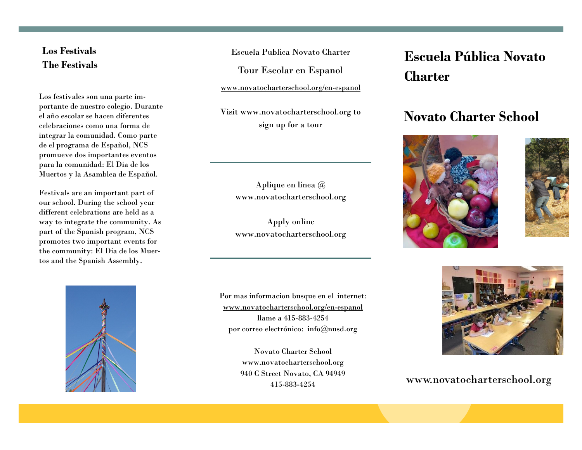## **Los Festivals The Festivals**

Los festivales son una parte importante de nuestro colegio. Durante el año escolar se hacen diferentes celebraciones como una forma de integrar la comunidad. Como parte de el programa de Español, NCS promueve dos importantes eventos para la comunidad: El Dia de los Muertos y la Asamblea de Español.

Festivals are an important part of our school. During the school year different celebrations are held as a way to integrate the community. As part of the Spanish program, NCS promotes two important events for the community: El Dia de los Muertos and the Spanish Assembly.

Escuela Publica Novato Charter

Tour Escolar en Espanol

www.novatocharterschool.org/en-espanol

Visit www.novatocharterschool.org to sign up for a tour

> Aplique en linea @ www.novatocharterschool.org

> Apply online www.novatocharterschool.org

Por mas informacion busque en el internet: www.novatocharterschool.org/en-espanol llame a 415-883-4254 por correo electrónico: info@nusd.org

> Novato Charter School www.novatocharterschool.org 940 C Street Novato, CA 94949 415-883-4254

# **Escuela Pública Novato Charter**

## **Novato Charter School**







### www.novatocharterschool.org